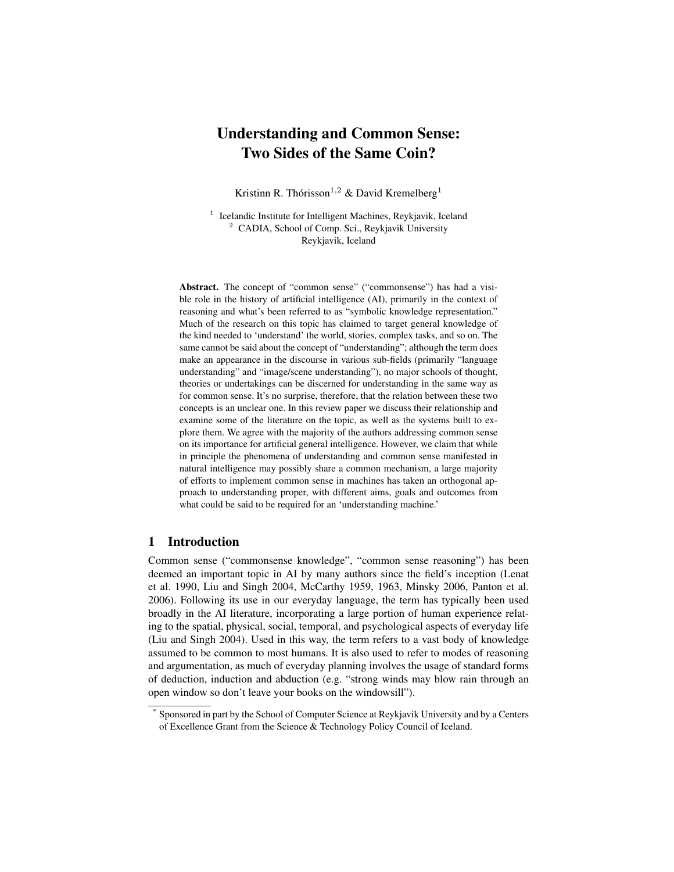# Understanding and Common Sense: Two Sides of the Same Coin?

Kristinn R. Thórisson<sup>1,2</sup> & David Kremelberg<sup>1</sup>

<sup>1</sup> Icelandic Institute for Intelligent Machines, Reykjavik, Iceland <sup>2</sup> CADIA, School of Comp. Sci., Reykjavik University Reykjavik, Iceland

Abstract. The concept of "common sense" ("commonsense") has had a visible role in the history of artificial intelligence (AI), primarily in the context of reasoning and what's been referred to as "symbolic knowledge representation." Much of the research on this topic has claimed to target general knowledge of the kind needed to 'understand' the world, stories, complex tasks, and so on. The same cannot be said about the concept of "understanding"; although the term does make an appearance in the discourse in various sub-fields (primarily "language understanding" and "image/scene understanding"), no major schools of thought, theories or undertakings can be discerned for understanding in the same way as for common sense. It's no surprise, therefore, that the relation between these two concepts is an unclear one. In this review paper we discuss their relationship and examine some of the literature on the topic, as well as the systems built to explore them. We agree with the majority of the authors addressing common sense on its importance for artificial general intelligence. However, we claim that while in principle the phenomena of understanding and common sense manifested in natural intelligence may possibly share a common mechanism, a large majority of efforts to implement common sense in machines has taken an orthogonal approach to understanding proper, with different aims, goals and outcomes from what could be said to be required for an 'understanding machine.'

## 1 Introduction

Common sense ("commonsense knowledge", "common sense reasoning") has been deemed an important topic in AI by many authors since the field's inception (Lenat et al. 1990, Liu and Singh 2004, McCarthy 1959, 1963, Minsky 2006, Panton et al. 2006). Following its use in our everyday language, the term has typically been used broadly in the AI literature, incorporating a large portion of human experience relating to the spatial, physical, social, temporal, and psychological aspects of everyday life (Liu and Singh 2004). Used in this way, the term refers to a vast body of knowledge assumed to be common to most humans. It is also used to refer to modes of reasoning and argumentation, as much of everyday planning involves the usage of standard forms of deduction, induction and abduction (e.g. "strong winds may blow rain through an open window so don't leave your books on the windowsill").

<sup>\*</sup> Sponsored in part by the School of Computer Science at Reykjavik University and by a Centers of Excellence Grant from the Science & Technology Policy Council of Iceland.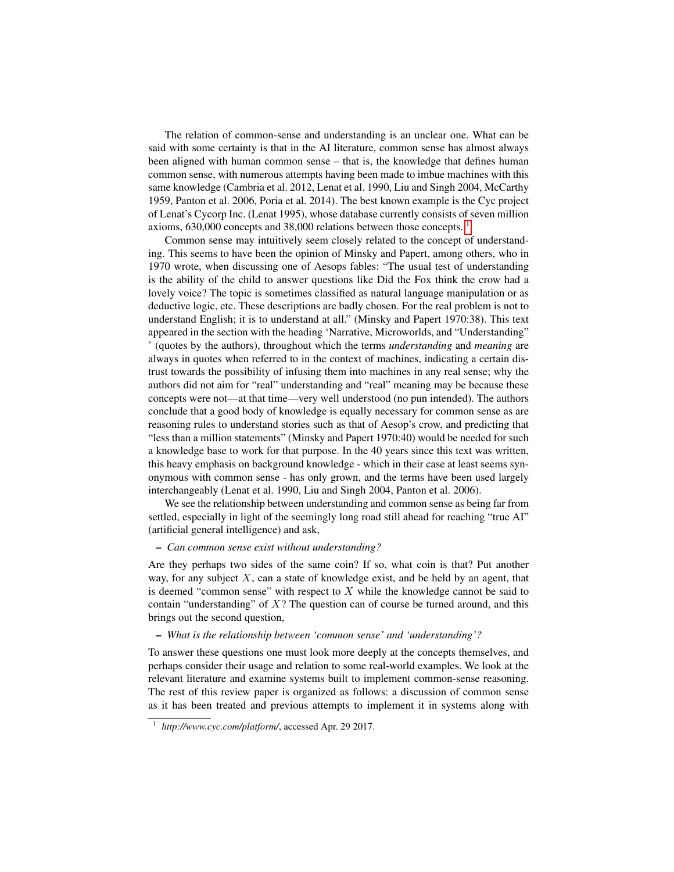The relation of common-sense and understanding is an unclear one. What can be said with some certainty is that in the AI literature, common sense has almost always been aligned with human common sense – that is, the knowledge that defines human common sense, with numerous attempts having been made to imbue machines with this same knowledge (Cambria et al. 2012, Lenat et al. 1990, Liu and Singh 2004, McCarthy 1959, Panton et al. 2006, Poria et al. 2014). The best known example is the Cyc project of Lenat's Cycorp Inc. (Lenat 1995), whose database currently consists of seven million axioms, 630,000 concepts and 38,000 relations between those concepts. [1](#page-1-0)

Common sense may intuitively seem closely related to the concept of understanding. This seems to have been the opinion of Minsky and Papert, among others, who in 1970 wrote, when discussing one of Aesops fables: "The usual test of understanding is the ability of the child to answer questions like Did the Fox think the crow had a lovely voice? The topic is sometimes classified as natural language manipulation or as deductive logic, etc. These descriptions are badly chosen. For the real problem is not to understand English; it is to understand at all." (Minsky and Papert 1970:38). This text appeared in the section with the heading 'Narrative, Microworlds, and "Understanding" ' (quotes by the authors), throughout which the terms *understanding* and *meaning* are always in quotes when referred to in the context of machines, indicating a certain distrust towards the possibility of infusing them into machines in any real sense; why the authors did not aim for "real" understanding and "real" meaning may be because these concepts were not—at that time—very well understood (no pun intended). The authors conclude that a good body of knowledge is equally necessary for common sense as are reasoning rules to understand stories such as that of Aesop's crow, and predicting that "less than a million statements" (Minsky and Papert 1970:40) would be needed for such a knowledge base to work for that purpose. In the 40 years since this text was written, this heavy emphasis on background knowledge - which in their case at least seems synonymous with common sense - has only grown, and the terms have been used largely interchangeably (Lenat et al. 1990, Liu and Singh 2004, Panton et al. 2006).

We see the relationship between understanding and common sense as being far from settled, especially in light of the seemingly long road still ahead for reaching "true AI" (artificial general intelligence) and ask,

#### – *Can common sense exist without understanding?*

Are they perhaps two sides of the same coin? If so, what coin is that? Put another way, for any subject  $X$ , can a state of knowledge exist, and be held by an agent, that is deemed "common sense" with respect to  $X$  while the knowledge cannot be said to contain "understanding" of  $X$ ? The question can of course be turned around, and this brings out the second question,

#### – *What is the relationship between 'common sense' and 'understanding'?*

To answer these questions one must look more deeply at the concepts themselves, and perhaps consider their usage and relation to some real-world examples. We look at the relevant literature and examine systems built to implement common-sense reasoning. The rest of this review paper is organized as follows: a discussion of common sense as it has been treated and previous attempts to implement it in systems along with

<span id="page-1-0"></span><sup>1</sup> *http://www.cyc.com/platform/*, accessed Apr. 29 2017.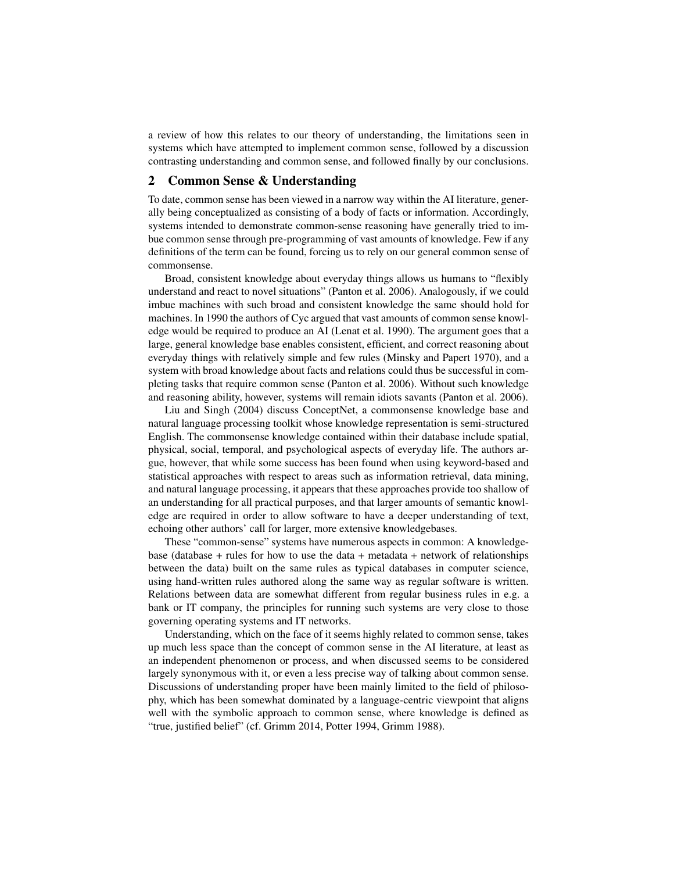a review of how this relates to our theory of understanding, the limitations seen in systems which have attempted to implement common sense, followed by a discussion contrasting understanding and common sense, and followed finally by our conclusions.

## 2 Common Sense & Understanding

To date, common sense has been viewed in a narrow way within the AI literature, generally being conceptualized as consisting of a body of facts or information. Accordingly, systems intended to demonstrate common-sense reasoning have generally tried to imbue common sense through pre-programming of vast amounts of knowledge. Few if any definitions of the term can be found, forcing us to rely on our general common sense of commonsense.

Broad, consistent knowledge about everyday things allows us humans to "flexibly understand and react to novel situations" (Panton et al. 2006). Analogously, if we could imbue machines with such broad and consistent knowledge the same should hold for machines. In 1990 the authors of Cyc argued that vast amounts of common sense knowledge would be required to produce an AI (Lenat et al. 1990). The argument goes that a large, general knowledge base enables consistent, efficient, and correct reasoning about everyday things with relatively simple and few rules (Minsky and Papert 1970), and a system with broad knowledge about facts and relations could thus be successful in completing tasks that require common sense (Panton et al. 2006). Without such knowledge and reasoning ability, however, systems will remain idiots savants (Panton et al. 2006).

Liu and Singh (2004) discuss ConceptNet, a commonsense knowledge base and natural language processing toolkit whose knowledge representation is semi-structured English. The commonsense knowledge contained within their database include spatial, physical, social, temporal, and psychological aspects of everyday life. The authors argue, however, that while some success has been found when using keyword-based and statistical approaches with respect to areas such as information retrieval, data mining, and natural language processing, it appears that these approaches provide too shallow of an understanding for all practical purposes, and that larger amounts of semantic knowledge are required in order to allow software to have a deeper understanding of text, echoing other authors' call for larger, more extensive knowledgebases.

These "common-sense" systems have numerous aspects in common: A knowledgebase (database + rules for how to use the data + metadata + network of relationships between the data) built on the same rules as typical databases in computer science, using hand-written rules authored along the same way as regular software is written. Relations between data are somewhat different from regular business rules in e.g. a bank or IT company, the principles for running such systems are very close to those governing operating systems and IT networks.

Understanding, which on the face of it seems highly related to common sense, takes up much less space than the concept of common sense in the AI literature, at least as an independent phenomenon or process, and when discussed seems to be considered largely synonymous with it, or even a less precise way of talking about common sense. Discussions of understanding proper have been mainly limited to the field of philosophy, which has been somewhat dominated by a language-centric viewpoint that aligns well with the symbolic approach to common sense, where knowledge is defined as "true, justified belief" (cf. Grimm 2014, Potter 1994, Grimm 1988).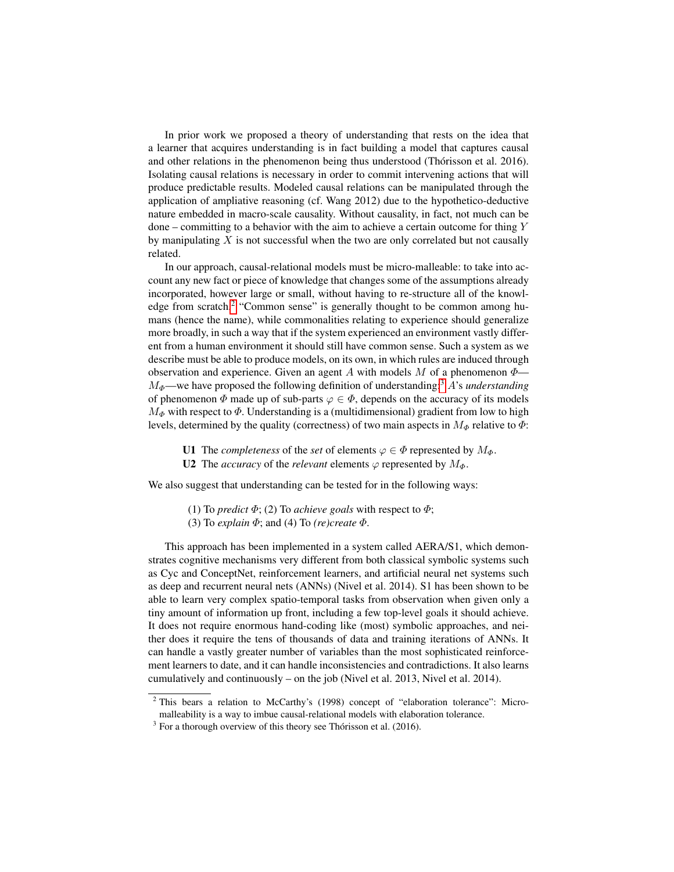In prior work we proposed a theory of understanding that rests on the idea that a learner that acquires understanding is in fact building a model that captures causal and other relations in the phenomenon being thus understood (Thórisson et al. 2016). Isolating causal relations is necessary in order to commit intervening actions that will produce predictable results. Modeled causal relations can be manipulated through the application of ampliative reasoning (cf. Wang 2012) due to the hypothetico-deductive nature embedded in macro-scale causality. Without causality, in fact, not much can be done – committing to a behavior with the aim to achieve a certain outcome for thing  $Y$ by manipulating  $X$  is not successful when the two are only correlated but not causally related.

In our approach, causal-relational models must be micro-malleable: to take into account any new fact or piece of knowledge that changes some of the assumptions already incorporated, however large or small, without having to re-structure all of the knowl-edge from scratch.<sup>[2](#page-3-0)</sup> "Common sense" is generally thought to be common among humans (hence the name), while commonalities relating to experience should generalize more broadly, in such a way that if the system experienced an environment vastly different from a human environment it should still have common sense. Such a system as we describe must be able to produce models, on its own, in which rules are induced through observation and experience. Given an agent A with models M of a phenomenon  $\Phi$ —  $M_{\Phi}$ —we have proposed the following definition of understanding:<sup>[3](#page-3-1)</sup> A's *understanding* of phenomenon  $\Phi$  made up of sub-parts  $\varphi \in \Phi$ , depends on the accuracy of its models  $M_{\Phi}$  with respect to  $\Phi$ . Understanding is a (multidimensional) gradient from low to high levels, determined by the quality (correctness) of two main aspects in  $M_{\Phi}$  relative to  $\Phi$ :

U1 The *completeness* of the *set* of elements  $\varphi \in \Phi$  represented by  $M_{\Phi}$ . U2 The *accuracy* of the *relevant* elements  $\varphi$  represented by  $M_{\Phi}$ .

We also suggest that understanding can be tested for in the following ways:

- (1) To *predict* Φ; (2) To *achieve goals* with respect to Φ;
- (3) To *explain* Φ; and (4) To *(re)create* Φ.

This approach has been implemented in a system called AERA/S1, which demonstrates cognitive mechanisms very different from both classical symbolic systems such as Cyc and ConceptNet, reinforcement learners, and artificial neural net systems such as deep and recurrent neural nets (ANNs) (Nivel et al. 2014). S1 has been shown to be able to learn very complex spatio-temporal tasks from observation when given only a tiny amount of information up front, including a few top-level goals it should achieve. It does not require enormous hand-coding like (most) symbolic approaches, and neither does it require the tens of thousands of data and training iterations of ANNs. It can handle a vastly greater number of variables than the most sophisticated reinforcement learners to date, and it can handle inconsistencies and contradictions. It also learns cumulatively and continuously – on the job (Nivel et al. 2013, Nivel et al. 2014).

<span id="page-3-0"></span><sup>&</sup>lt;sup>2</sup> This bears a relation to McCarthy's (1998) concept of "elaboration tolerance": Micromalleability is a way to imbue causal-relational models with elaboration tolerance.

<span id="page-3-1"></span> $3$  For a thorough overview of this theory see Thórisson et al. (2016).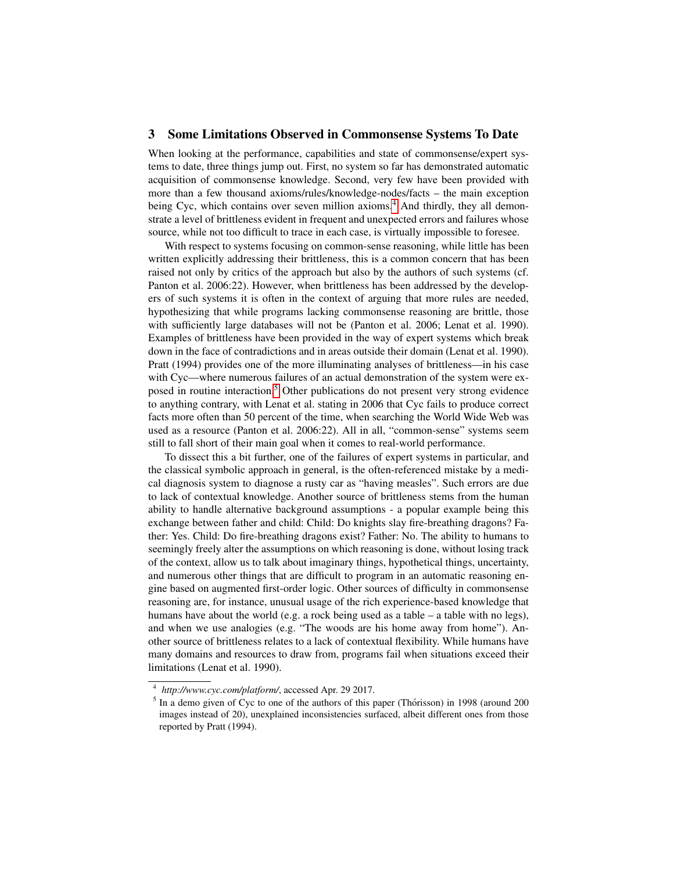## 3 Some Limitations Observed in Commonsense Systems To Date

When looking at the performance, capabilities and state of commonsense/expert systems to date, three things jump out. First, no system so far has demonstrated automatic acquisition of commonsense knowledge. Second, very few have been provided with more than a few thousand axioms/rules/knowledge-nodes/facts – the main exception being Cyc, which contains over seven million axioms.<sup>[4](#page-4-0)</sup> And thirdly, they all demonstrate a level of brittleness evident in frequent and unexpected errors and failures whose source, while not too difficult to trace in each case, is virtually impossible to foresee.

With respect to systems focusing on common-sense reasoning, while little has been written explicitly addressing their brittleness, this is a common concern that has been raised not only by critics of the approach but also by the authors of such systems (cf. Panton et al. 2006:22). However, when brittleness has been addressed by the developers of such systems it is often in the context of arguing that more rules are needed, hypothesizing that while programs lacking commonsense reasoning are brittle, those with sufficiently large databases will not be (Panton et al. 2006; Lenat et al. 1990). Examples of brittleness have been provided in the way of expert systems which break down in the face of contradictions and in areas outside their domain (Lenat et al. 1990). Pratt (1994) provides one of the more illuminating analyses of brittleness—in his case with Cyc—where numerous failures of an actual demonstration of the system were ex-posed in routine interaction.<sup>[5](#page-4-1)</sup> Other publications do not present very strong evidence to anything contrary, with Lenat et al. stating in 2006 that Cyc fails to produce correct facts more often than 50 percent of the time, when searching the World Wide Web was used as a resource (Panton et al. 2006:22). All in all, "common-sense" systems seem still to fall short of their main goal when it comes to real-world performance.

To dissect this a bit further, one of the failures of expert systems in particular, and the classical symbolic approach in general, is the often-referenced mistake by a medical diagnosis system to diagnose a rusty car as "having measles". Such errors are due to lack of contextual knowledge. Another source of brittleness stems from the human ability to handle alternative background assumptions - a popular example being this exchange between father and child: Child: Do knights slay fire-breathing dragons? Father: Yes. Child: Do fire-breathing dragons exist? Father: No. The ability to humans to seemingly freely alter the assumptions on which reasoning is done, without losing track of the context, allow us to talk about imaginary things, hypothetical things, uncertainty, and numerous other things that are difficult to program in an automatic reasoning engine based on augmented first-order logic. Other sources of difficulty in commonsense reasoning are, for instance, unusual usage of the rich experience-based knowledge that humans have about the world (e.g. a rock being used as a table – a table with no legs), and when we use analogies (e.g. "The woods are his home away from home"). Another source of brittleness relates to a lack of contextual flexibility. While humans have many domains and resources to draw from, programs fail when situations exceed their limitations (Lenat et al. 1990).

<span id="page-4-0"></span><sup>4</sup> *http://www.cyc.com/platform/*, accessed Apr. 29 2017.

<span id="page-4-1"></span> $<sup>5</sup>$  In a demo given of Cyc to one of the authors of this paper (Thórisson) in 1998 (around 200</sup> images instead of 20), unexplained inconsistencies surfaced, albeit different ones from those reported by Pratt (1994).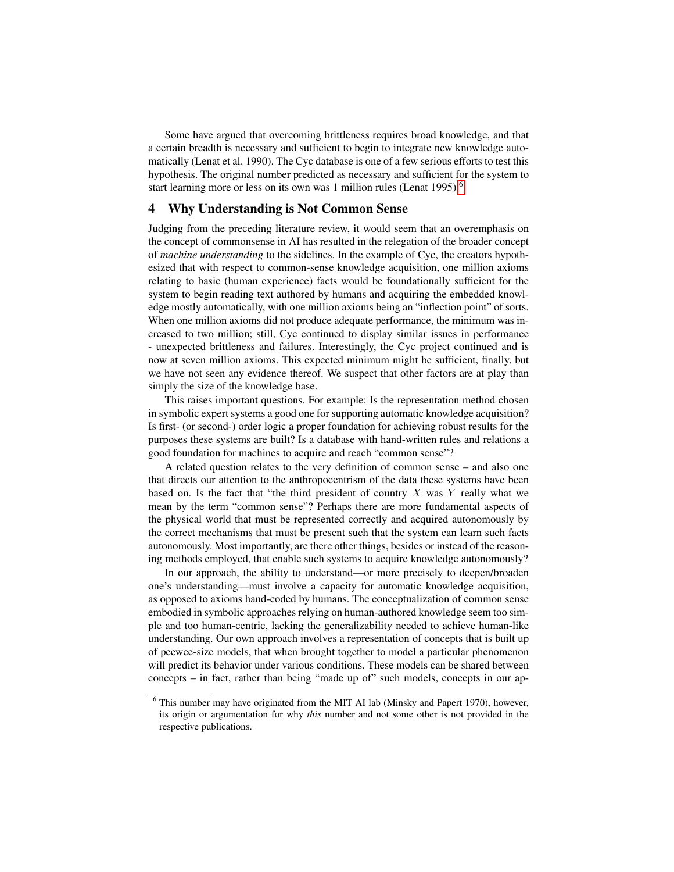Some have argued that overcoming brittleness requires broad knowledge, and that a certain breadth is necessary and sufficient to begin to integrate new knowledge automatically (Lenat et al. 1990). The Cyc database is one of a few serious efforts to test this hypothesis. The original number predicted as necessary and sufficient for the system to start learning more or less on its own was 1 million rules (Lenat 1995).<sup>[6](#page-5-0)</sup>

#### 4 Why Understanding is Not Common Sense

Judging from the preceding literature review, it would seem that an overemphasis on the concept of commonsense in AI has resulted in the relegation of the broader concept of *machine understanding* to the sidelines. In the example of Cyc, the creators hypothesized that with respect to common-sense knowledge acquisition, one million axioms relating to basic (human experience) facts would be foundationally sufficient for the system to begin reading text authored by humans and acquiring the embedded knowledge mostly automatically, with one million axioms being an "inflection point" of sorts. When one million axioms did not produce adequate performance, the minimum was increased to two million; still, Cyc continued to display similar issues in performance - unexpected brittleness and failures. Interestingly, the Cyc project continued and is now at seven million axioms. This expected minimum might be sufficient, finally, but we have not seen any evidence thereof. We suspect that other factors are at play than simply the size of the knowledge base.

This raises important questions. For example: Is the representation method chosen in symbolic expert systems a good one for supporting automatic knowledge acquisition? Is first- (or second-) order logic a proper foundation for achieving robust results for the purposes these systems are built? Is a database with hand-written rules and relations a good foundation for machines to acquire and reach "common sense"?

A related question relates to the very definition of common sense – and also one that directs our attention to the anthropocentrism of the data these systems have been based on. Is the fact that "the third president of country  $X$  was  $Y$  really what we mean by the term "common sense"? Perhaps there are more fundamental aspects of the physical world that must be represented correctly and acquired autonomously by the correct mechanisms that must be present such that the system can learn such facts autonomously. Most importantly, are there other things, besides or instead of the reasoning methods employed, that enable such systems to acquire knowledge autonomously?

In our approach, the ability to understand—or more precisely to deepen/broaden one's understanding—must involve a capacity for automatic knowledge acquisition, as opposed to axioms hand-coded by humans. The conceptualization of common sense embodied in symbolic approaches relying on human-authored knowledge seem too simple and too human-centric, lacking the generalizability needed to achieve human-like understanding. Our own approach involves a representation of concepts that is built up of peewee-size models, that when brought together to model a particular phenomenon will predict its behavior under various conditions. These models can be shared between concepts – in fact, rather than being "made up of" such models, concepts in our ap-

<span id="page-5-0"></span><sup>6</sup> This number may have originated from the MIT AI lab (Minsky and Papert 1970), however, its origin or argumentation for why *this* number and not some other is not provided in the respective publications.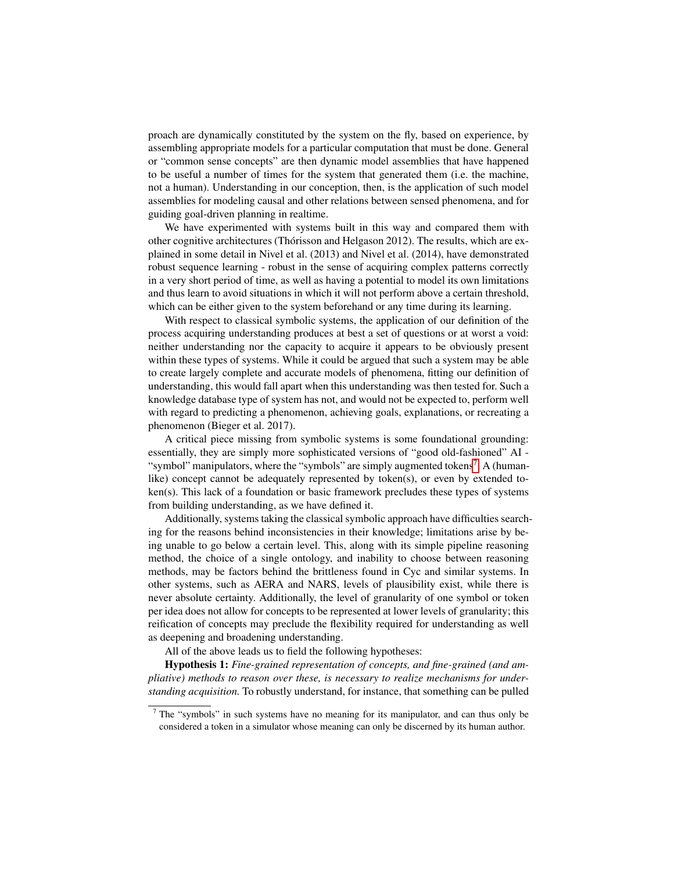proach are dynamically constituted by the system on the fly, based on experience, by assembling appropriate models for a particular computation that must be done. General or "common sense concepts" are then dynamic model assemblies that have happened to be useful a number of times for the system that generated them (i.e. the machine, not a human). Understanding in our conception, then, is the application of such model assemblies for modeling causal and other relations between sensed phenomena, and for guiding goal-driven planning in realtime.

We have experimented with systems built in this way and compared them with other cognitive architectures (Thorisson and Helgason 2012). The results, which are ex- ´ plained in some detail in Nivel et al. (2013) and Nivel et al. (2014), have demonstrated robust sequence learning - robust in the sense of acquiring complex patterns correctly in a very short period of time, as well as having a potential to model its own limitations and thus learn to avoid situations in which it will not perform above a certain threshold, which can be either given to the system beforehand or any time during its learning.

With respect to classical symbolic systems, the application of our definition of the process acquiring understanding produces at best a set of questions or at worst a void: neither understanding nor the capacity to acquire it appears to be obviously present within these types of systems. While it could be argued that such a system may be able to create largely complete and accurate models of phenomena, fitting our definition of understanding, this would fall apart when this understanding was then tested for. Such a knowledge database type of system has not, and would not be expected to, perform well with regard to predicting a phenomenon, achieving goals, explanations, or recreating a phenomenon (Bieger et al. 2017).

A critical piece missing from symbolic systems is some foundational grounding: essentially, they are simply more sophisticated versions of "good old-fashioned" AI - "symbol" manipulators, where the "symbols" are simply augmented tokens<sup>[7](#page-6-0)</sup>. A (humanlike) concept cannot be adequately represented by token(s), or even by extended token(s). This lack of a foundation or basic framework precludes these types of systems from building understanding, as we have defined it.

Additionally, systems taking the classical symbolic approach have difficulties searching for the reasons behind inconsistencies in their knowledge; limitations arise by being unable to go below a certain level. This, along with its simple pipeline reasoning method, the choice of a single ontology, and inability to choose between reasoning methods, may be factors behind the brittleness found in Cyc and similar systems. In other systems, such as AERA and NARS, levels of plausibility exist, while there is never absolute certainty. Additionally, the level of granularity of one symbol or token per idea does not allow for concepts to be represented at lower levels of granularity; this reification of concepts may preclude the flexibility required for understanding as well as deepening and broadening understanding.

All of the above leads us to field the following hypotheses:

Hypothesis 1: *Fine-grained representation of concepts, and fine-grained (and ampliative) methods to reason over these, is necessary to realize mechanisms for understanding acquisition.* To robustly understand, for instance, that something can be pulled

<span id="page-6-0"></span><sup>7</sup> The "symbols" in such systems have no meaning for its manipulator, and can thus only be considered a token in a simulator whose meaning can only be discerned by its human author.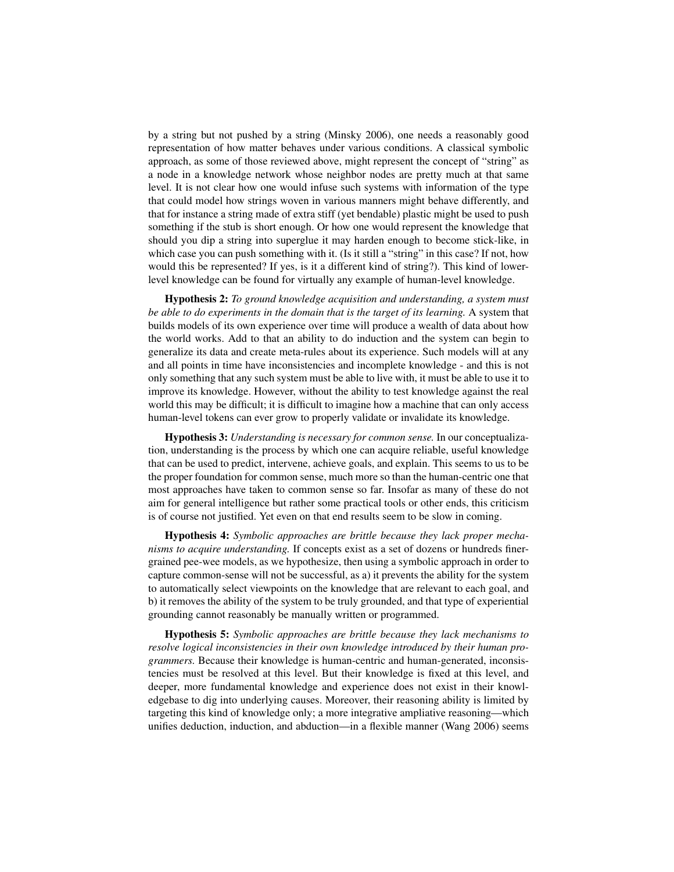by a string but not pushed by a string (Minsky 2006), one needs a reasonably good representation of how matter behaves under various conditions. A classical symbolic approach, as some of those reviewed above, might represent the concept of "string" as a node in a knowledge network whose neighbor nodes are pretty much at that same level. It is not clear how one would infuse such systems with information of the type that could model how strings woven in various manners might behave differently, and that for instance a string made of extra stiff (yet bendable) plastic might be used to push something if the stub is short enough. Or how one would represent the knowledge that should you dip a string into superglue it may harden enough to become stick-like, in which case you can push something with it. (Is it still a "string" in this case? If not, how would this be represented? If yes, is it a different kind of string?). This kind of lowerlevel knowledge can be found for virtually any example of human-level knowledge.

Hypothesis 2: *To ground knowledge acquisition and understanding, a system must be able to do experiments in the domain that is the target of its learning.* A system that builds models of its own experience over time will produce a wealth of data about how the world works. Add to that an ability to do induction and the system can begin to generalize its data and create meta-rules about its experience. Such models will at any and all points in time have inconsistencies and incomplete knowledge - and this is not only something that any such system must be able to live with, it must be able to use it to improve its knowledge. However, without the ability to test knowledge against the real world this may be difficult; it is difficult to imagine how a machine that can only access human-level tokens can ever grow to properly validate or invalidate its knowledge.

Hypothesis 3: *Understanding is necessary for common sense.* In our conceptualization, understanding is the process by which one can acquire reliable, useful knowledge that can be used to predict, intervene, achieve goals, and explain. This seems to us to be the proper foundation for common sense, much more so than the human-centric one that most approaches have taken to common sense so far. Insofar as many of these do not aim for general intelligence but rather some practical tools or other ends, this criticism is of course not justified. Yet even on that end results seem to be slow in coming.

Hypothesis 4: *Symbolic approaches are brittle because they lack proper mechanisms to acquire understanding.* If concepts exist as a set of dozens or hundreds finergrained pee-wee models, as we hypothesize, then using a symbolic approach in order to capture common-sense will not be successful, as a) it prevents the ability for the system to automatically select viewpoints on the knowledge that are relevant to each goal, and b) it removes the ability of the system to be truly grounded, and that type of experiential grounding cannot reasonably be manually written or programmed.

Hypothesis 5: *Symbolic approaches are brittle because they lack mechanisms to resolve logical inconsistencies in their own knowledge introduced by their human programmers.* Because their knowledge is human-centric and human-generated, inconsistencies must be resolved at this level. But their knowledge is fixed at this level, and deeper, more fundamental knowledge and experience does not exist in their knowledgebase to dig into underlying causes. Moreover, their reasoning ability is limited by targeting this kind of knowledge only; a more integrative ampliative reasoning—which unifies deduction, induction, and abduction—in a flexible manner (Wang 2006) seems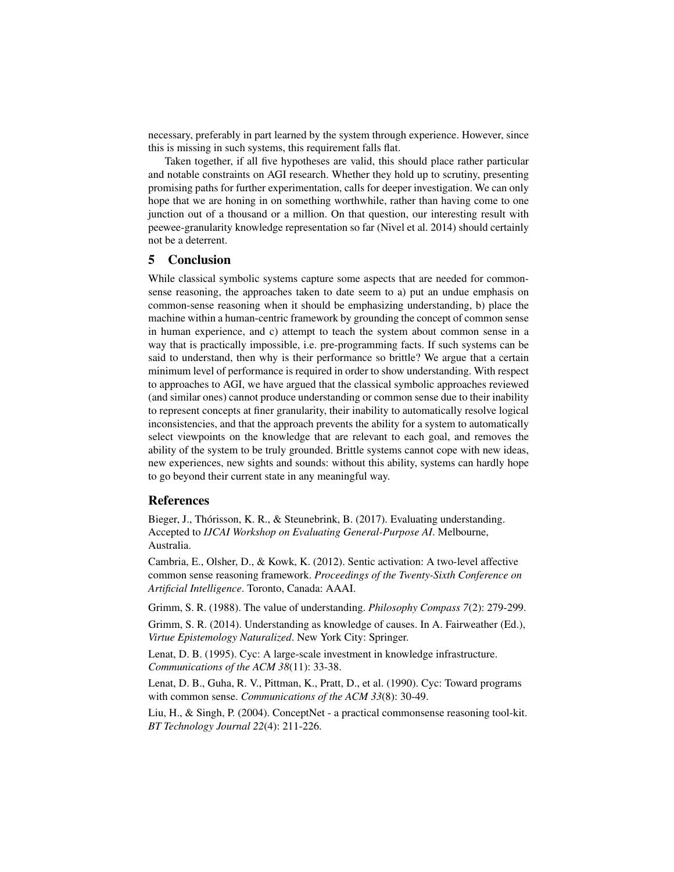necessary, preferably in part learned by the system through experience. However, since this is missing in such systems, this requirement falls flat.

Taken together, if all five hypotheses are valid, this should place rather particular and notable constraints on AGI research. Whether they hold up to scrutiny, presenting promising paths for further experimentation, calls for deeper investigation. We can only hope that we are honing in on something worthwhile, rather than having come to one junction out of a thousand or a million. On that question, our interesting result with peewee-granularity knowledge representation so far (Nivel et al. 2014) should certainly not be a deterrent.

## 5 Conclusion

While classical symbolic systems capture some aspects that are needed for commonsense reasoning, the approaches taken to date seem to a) put an undue emphasis on common-sense reasoning when it should be emphasizing understanding, b) place the machine within a human-centric framework by grounding the concept of common sense in human experience, and c) attempt to teach the system about common sense in a way that is practically impossible, i.e. pre-programming facts. If such systems can be said to understand, then why is their performance so brittle? We argue that a certain minimum level of performance is required in order to show understanding. With respect to approaches to AGI, we have argued that the classical symbolic approaches reviewed (and similar ones) cannot produce understanding or common sense due to their inability to represent concepts at finer granularity, their inability to automatically resolve logical inconsistencies, and that the approach prevents the ability for a system to automatically select viewpoints on the knowledge that are relevant to each goal, and removes the ability of the system to be truly grounded. Brittle systems cannot cope with new ideas, new experiences, new sights and sounds: without this ability, systems can hardly hope to go beyond their current state in any meaningful way.

#### References

Bieger, J., Thórisson, K. R., & Steunebrink, B. (2017). Evaluating understanding. Accepted to *IJCAI Workshop on Evaluating General-Purpose AI*. Melbourne, Australia.

Cambria, E., Olsher, D., & Kowk, K. (2012). Sentic activation: A two-level affective common sense reasoning framework. *Proceedings of the Twenty-Sixth Conference on Artificial Intelligence*. Toronto, Canada: AAAI.

Grimm, S. R. (1988). The value of understanding. *Philosophy Compass 7*(2): 279-299.

Grimm, S. R. (2014). Understanding as knowledge of causes. In A. Fairweather (Ed.), *Virtue Epistemology Naturalized*. New York City: Springer.

Lenat, D. B. (1995). Cyc: A large-scale investment in knowledge infrastructure. *Communications of the ACM 38*(11): 33-38.

Lenat, D. B., Guha, R. V., Pittman, K., Pratt, D., et al. (1990). Cyc: Toward programs with common sense. *Communications of the ACM 33*(8): 30-49.

Liu, H., & Singh, P. (2004). ConceptNet - a practical commonsense reasoning tool-kit. *BT Technology Journal 22*(4): 211-226.